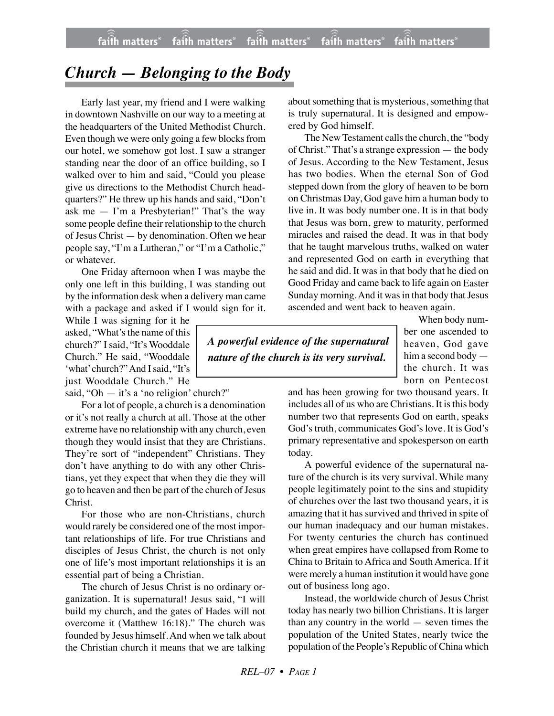## *Church — Belonging to the Body*

Early last year, my friend and I were walking in downtown Nashville on our way to a meeting at the headquarters of the United Methodist Church. Even though we were only going a few blocks from our hotel, we somehow got lost. I saw a stranger standing near the door of an office building, so I walked over to him and said, "Could you please give us directions to the Methodist Church headquarters?" He threw up his hands and said, "Don't ask me  $-$  I'm a Presbyterian!" That's the way some people define their relationship to the church of Jesus Christ — by denomination. Often we hear people say, "I'm a Lutheran," or "I'm a Catholic," or whatever.

One Friday afternoon when I was maybe the only one left in this building, I was standing out by the information desk when a delivery man came with a package and asked if I would sign for it.

While I was signing for it he asked, "What's the name of this church?" I said, "It's Wooddale Church." He said, "Wooddale 'what' church?"And I said, "It's just Wooddale Church." He said, "Oh — it's a 'no religion' church?"

For a lot of people, a church is a denomination or it's not really a church at all. Those at the other extreme have no relationship with any church, even though they would insist that they are Christians. They're sort of "independent" Christians. They don't have anything to do with any other Christians, yet they expect that when they die they will go to heaven and then be part of the church of Jesus Christ.

For those who are non-Christians, church would rarely be considered one of the most important relationships of life. For true Christians and disciples of Jesus Christ, the church is not only one of life's most important relationships it is an essential part of being a Christian.

The church of Jesus Christ is no ordinary organization. It is supernatural! Jesus said, "I will build my church, and the gates of Hades will not overcome it (Matthew 16:18)." The church was founded by Jesus himself. And when we talk about the Christian church it means that we are talking about something that is mysterious, something that is truly supernatural. It is designed and empowered by God himself.

The New Testament calls the church, the "body of Christ." That's a strange expression — the body of Jesus. According to the New Testament, Jesus has two bodies. When the eternal Son of God stepped down from the glory of heaven to be born on Christmas Day, God gave him a human body to live in. It was body number one. It is in that body that Jesus was born, grew to maturity, performed miracles and raised the dead. It was in that body that he taught marvelous truths, walked on water and represented God on earth in everything that he said and did. It was in that body that he died on Good Friday and came back to life again on Easter Sunday morning. And it was in that body that Jesus ascended and went back to heaven again.

*A powerful evidence of the supernatural nature of the church is its very survival.*

When body number one ascended to heaven, God gave him a second body the church. It was born on Pentecost

and has been growing for two thousand years. It includes all of us who are Christians. It is this body number two that represents God on earth, speaks God's truth, communicates God's love. It is God's primary representative and spokesperson on earth today.

A powerful evidence of the supernatural nature of the church is its very survival. While many people legitimately point to the sins and stupidity of churches over the last two thousand years, it is amazing that it has survived and thrived in spite of our human inadequacy and our human mistakes. For twenty centuries the church has continued when great empires have collapsed from Rome to China to Britain to Africa and South America. If it were merely a human institution it would have gone out of business long ago.

Instead, the worldwide church of Jesus Christ today has nearly two billion Christians. It is larger than any country in the world — seven times the population of the United States, nearly twice the population of the People's Republic of China which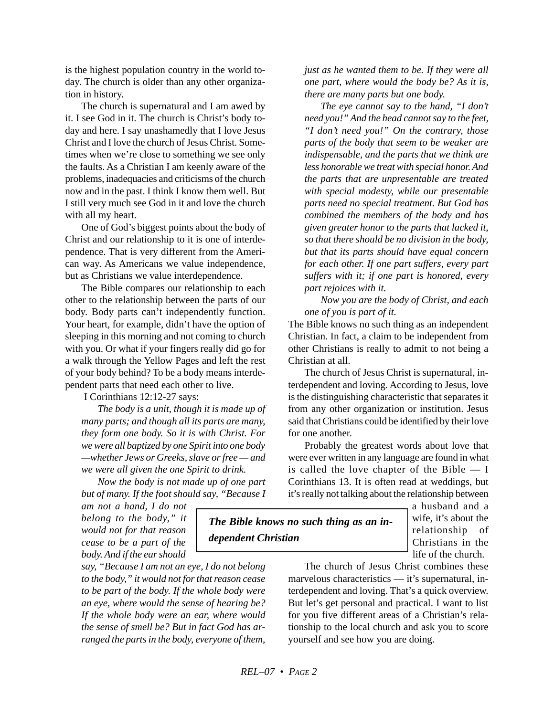is the highest population country in the world today. The church is older than any other organization in history.

The church is supernatural and I am awed by it. I see God in it. The church is Christ's body today and here. I say unashamedly that I love Jesus Christ and I love the church of Jesus Christ. Sometimes when we're close to something we see only the faults. As a Christian I am keenly aware of the problems, inadequacies and criticisms of the church now and in the past. I think I know them well. But I still very much see God in it and love the church with all my heart.

One of God's biggest points about the body of Christ and our relationship to it is one of interdependence. That is very different from the American way. As Americans we value independence, but as Christians we value interdependence.

The Bible compares our relationship to each other to the relationship between the parts of our body. Body parts can't independently function. Your heart, for example, didn't have the option of sleeping in this morning and not coming to church with you. Or what if your fingers really did go for a walk through the Yellow Pages and left the rest of your body behind? To be a body means interdependent parts that need each other to live.

I Corinthians 12:12-27 says:

*The body is a unit, though it is made up of many parts; and though all its parts are many, they form one body. So it is with Christ. For we were all baptized by one Spirit into one body —whether Jews or Greeks, slave or free — and we were all given the one Spirit to drink.*

*Now the body is not made up of one part but of many. If the foot should say, "Because I*

*am not a hand, I do not belong to the body," it would not for that reason cease to be a part of the body. And if the ear should*

*say, "Because I am not an eye, I do not belong to the body," it would not for that reason cease to be part of the body. If the whole body were an eye, where would the sense of hearing be? If the whole body were an ear, where would the sense of smell be? But in fact God has arranged the parts in the body, everyone of them,* *just as he wanted them to be. If they were all one part, where would the body be? As it is, there are many parts but one body.*

*The eye cannot say to the hand, "I don't need you!" And the head cannot say to the feet, "I don't need you!" On the contrary, those parts of the body that seem to be weaker are indispensable, and the parts that we think are less honorable we treat with special honor. And the parts that are unpresentable are treated with special modesty, while our presentable parts need no special treatment. But God has combined the members of the body and has given greater honor to the parts that lacked it, so that there should be no division in the body, but that its parts should have equal concern for each other. If one part suffers, every part suffers with it; if one part is honored, every part rejoices with it.*

*Now you are the body of Christ, and each one of you is part of it.*

The Bible knows no such thing as an independent Christian. In fact, a claim to be independent from other Christians is really to admit to not being a Christian at all.

The church of Jesus Christ is supernatural, interdependent and loving. According to Jesus, love is the distinguishing characteristic that separates it from any other organization or institution. Jesus said that Christians could be identified by their love for one another.

Probably the greatest words about love that were ever written in any language are found in what is called the love chapter of the Bible — I Corinthians 13. It is often read at weddings, but it's really not talking about the relationship between

> a husband and a wife, it's about the relationship of Christians in the life of the church.

The church of Jesus Christ combines these marvelous characteristics — it's supernatural, interdependent and loving. That's a quick overview. But let's get personal and practical. I want to list for you five different areas of a Christian's relationship to the local church and ask you to score yourself and see how you are doing.

*The Bible knows no such thing as an independent Christian*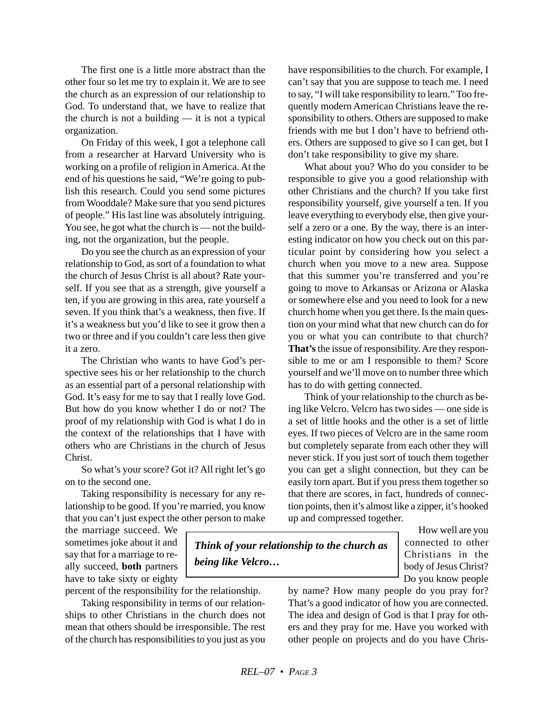The first one is a little more abstract than the other four so let me try to explain it. We are to see the church as an expression of our relationship to God. To understand that, we have to realize that the church is not a building — it is not a typical organization.

On Friday of this week, I got a telephone call from a researcher at Harvard University who is working on a profile of religion in America. At the end of his questions he said, "We're going to publish this research. Could you send some pictures from Wooddale? Make sure that you send pictures of people." His last line was absolutely intriguing. You see, he got what the church is — not the building, not the organization, but the people.

Do you see the church as an expression of your relationship to God, as sort of a foundation to what the church of Jesus Christ is all about? Rate yourself. If you see that as a strength, give yourself a ten, if you are growing in this area, rate yourself a seven. If you think that's a weakness, then five. If it's a weakness but you'd like to see it grow then a two or three and if you couldn't care less then give it a zero.

The Christian who wants to have God's perspective sees his or her relationship to the church as an essential part of a personal relationship with God. It's easy for me to say that I really love God. But how do you know whether I do or not? The proof of my relationship with God is what I do in the context of the relationships that I have with others who are Christians in the church of Jesus Christ.

So what's your score? Got it? All right let's go on to the second one.

Taking responsibility is necessary for any relationship to be good. If you're married, you know that you can't just expect the other person to make

the marriage succeed. We sometimes joke about it and say that for a marriage to really succeed, **both** partners have to take sixty or eighty

percent of the responsibility for the relationship.

Taking responsibility in terms of our relationships to other Christians in the church does not mean that others should be irresponsible. The rest of the church has responsibilities to you just as you have responsibilities to the church. For example, I can't say that you are suppose to teach me. I need to say, "I will take responsibility to learn." Too frequently modern American Christians leave the responsibility to others. Others are supposed to make friends with me but I don't have to befriend others. Others are supposed to give so I can get, but I don't take responsibility to give my share.

What about you? Who do you consider to be responsible to give you a good relationship with other Christians and the church? If you take first responsibility yourself, give yourself a ten. If you leave everything to everybody else, then give yourself a zero or a one. By the way, there is an interesting indicator on how you check out on this particular point by considering how you select a church when you move to a new area. Suppose that this summer you're transferred and you're going to move to Arkansas or Arizona or Alaska or somewhere else and you need to look for a new church home when you get there. Is the main question on your mind what that new church can do for you or what you can contribute to that church? **That's** the issue of responsibility. Are they responsible to me or am I responsible to them? Score yourself and we'll move on to number three which has to do with getting connected.

Think of your relationship to the church as being like Velcro. Velcro has two sides — one side is a set of little hooks and the other is a set of little eyes. If two pieces of Velcro are in the same room but completely separate from each other they will never stick. If you just sort of touch them together you can get a slight connection, but they can be easily torn apart. But if you press them together so that there are scores, in fact, hundreds of connection points, then it's almost like a zipper, it's hooked up and compressed together.

> How well are you connected to other Christians in the body of Jesus Christ? Do you know people

by name? How many people do you pray for? That's a good indicator of how you are connected. The idea and design of God is that I pray for others and they pray for me. Have you worked with

other people on projects and do you have Chris-

*Think of your relationship to the church as*

*being like Velcro…*